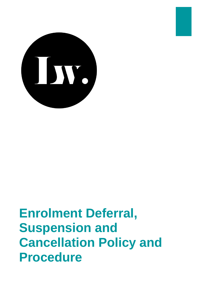

# **Enrolment Deferral, Suspension and Cancellation Policy and Procedure**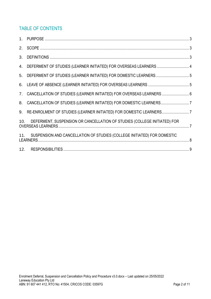# TABLE OF CONTENTS

|     | 4. DEFERMENT OF STUDIES (LEARNER INITIATED) FOR OVERSEAS LEARNERS 4         |  |
|-----|-----------------------------------------------------------------------------|--|
|     | 5. DEFERMENT OF STUDIES (LEARNER INITIATED) FOR DOMESTIC LEARNERS5          |  |
|     |                                                                             |  |
|     | 7. CANCELLATION OF STUDIES (LEARNER INITIATED) FOR OVERSEAS LEARNERS  6     |  |
|     | 8. CANCELLATION OF STUDIES (LEARNER INITIATED) FOR DOMESTIC LEARNERS7       |  |
|     | 9. RE-ENROLMENT OF STUDIES (LEARNER INITIATED) FOR DOMESTIC LEARNERS7       |  |
| 10. | DEFERMENT, SUSPENSION OR CANCELLATION OF STUDIES (COLLEGE INITIATED) FOR    |  |
|     | 11. SUSPENSION AND CANCELLATION OF STUDIES (COLLEGE INITIATED) FOR DOMESTIC |  |
|     |                                                                             |  |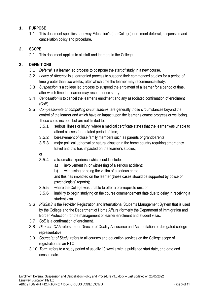#### <span id="page-2-0"></span>**1. PURPOSE**

1.1 This document specifies Laneway Education's (the College) enrolment deferral, suspension and cancellation policy and procedure.

#### <span id="page-2-1"></span>**2. SCOPE**

2.1 This document applies to all staff and learners in the College.

#### <span id="page-2-2"></span>**3. DEFINITIONS**

- 3.1 *Deferral* is a learner led process to postpone the start of study in a new course.
- 3.2 *Leave of Absence* is a learner led process to suspend their commenced studies for a period of time greater than two weeks, after which time the learner may recommence study.
- 3.3 *Suspension* is a college led process to suspend the enrolment of a learner for a period of time, after which time the learner may recommence study.
- 3.4 *Cancellation* is to cancel the learner's enrolment and any associated confirmation of enrolment (CoE).
- 3.5 *Compassionate or compelling circumstances*: are generally those circumstances beyond the control of the learner and which have an impact upon the learner's course progress or wellbeing. These could include, but are not limited to:
	- 3.5.1 serious illness or injury, where a medical certificate states that the learner was unable to attend classes for a stated period of time;
	- 3.5.2 bereavement of close family members such as parents or grandparents;
	- 3.5.3 major political upheaval or natural disaster in the home country requiring emergency travel and this has impacted on the learner's studies;

or

- 3.5.4 a traumatic experience which could include:
	- a) involvement in, or witnessing of a serious accident;
	- b) witnessing or being the victim of a serious crime.

and this has impacted on the learner (these cases should be supported by police or psychologists' reports);

- 3.5.5 where the College was unable to offer a pre-requisite unit; or
- 3.5.6 inability to begin studying on the course commencement date due to delay in receiving a student visa.
- 3.6 *PRISMS* is the Provider Registration and International Students Management System that is used by the College and the Department of Home Affairs (formerly the Department of Immigration and Border Protection) for the management of learner enrolment and student visas.
- 3.7 *CoE* is a confirmation of enrolment.
- 3.8 *Director: QAA* refers to our Director of Quality Assurance and Accreditation or delegated college representative
- 3.9 *Course(s) of Study*: refers to all courses and education services on the College scope of registration as an RTO.
- 3.10 *Term*: refers to a study period of usually 10 weeks with a published start date, end date and census date.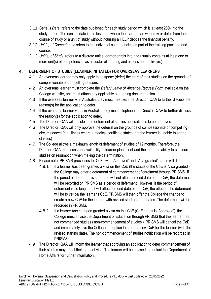- 3.11 *Census Date*: refers to the date published for each study period which is at least 20% into the study period. The census date is the last date where the learner can withdraw or defer from their course of study or a unit of study without incurring a HELP debt as the financial penalty.
- 3.12 *Unit(s) of Competency*: refers to the individual competencies as part of the training package and course.
- 3.13 *Unit(s) of Study*: refers to a discrete unit a learner enrols into and usually contains at least one or more unit(s) of competencies as a cluster of learning and assessment activity(s).

#### <span id="page-3-0"></span>**4. DEFERMENT OF STUDIES (LEARNER INITIATED) FOR OVERSEAS LEARNERS**

- 4.1 An overseas learner may only apply to postpone (defer) the start of their studies on the grounds of compassionate or compelling reasons.
- 4.2 An overseas learner must complete the *Defer / Leave of Absence Request Form* available on the College website, and must attach any applicable supporting documentation.
- 4.3 If the overseas learner *is* in Australia, they must meet with the Director: QAA to further discuss the reason(s) for the application to defer.
- 4.4 If the overseas learner *is not* in Australia, they must telephone the Director: QAA to further discuss the reason(s) for the application to defer.
- 4.5 The Director: QAA will decide if the deferment of studies application is to be approved.
- 4.6 The Director: QAA will only approve the deferral on the grounds of compassionate or compelling circumstances (e.g. illness where a medical certificate states that the learner is unable to attend classes)
- 4.7 The College allows a maximum length of deferment of studies of 12 months. Therefore, the Director: QAA must consider availability of learner placement and the learner's ability to continue studies on resumption when making the determination.
- 4.8 Please note: PRISMS processes for CoEs with 'Approved' and 'Visa granted' status will differ:
	- 4.8.1 If a learner *has* been granted a visa on this CoE (the status of the CoE is 'Visa granted'), the College may enter a deferment of commencement of enrolment through PRISMS. If the period of deferment is short and will not affect the end date of the CoE, the deferment will be recorded on PRISMS as a period of deferment. However, if the period of deferment is so long that it will affect the end date of the CoE, the effect of the deferment will be to *cancel* the learner's CoE. PRISMS will then offer the College the chance to create a new CoE for the learner with revised start and end dates. The deferment will be recorded in PRISMS.
	- 4.8.2 If a learner *has not* been granted a visa on this CoE (CoE status is 'Approved'), the College must advise the Department of Education through PRISMS that the learner has not commenced studies ('non-commencement of studies'). PRISMS will cancel the CoE and immediately give the College the option to create a new CoE for the learner (with the revised starting date). The non-commencement of studies notification will be recorded in PRISMS.
- 4.9 The Director: QAA will inform the learner that approving an application to defer commencement of their studies may affect their student visa. The learner will be advised to contact the Department of Home Affairs for further information.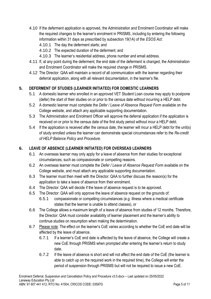- 4.10 If the deferment application is approved, the Administration and Enrolment Coordinator will make the required changes to the learner's enrolment in PRISMS, including by entering the following information within 31 days as prescribed by subsection 19(1A) of the *ESOS Act*:
	- 4.10.1 The day the deferment starts; and
	- 4.10.2 The expected duration of the deferment; and
	- 4.10.3 The learner's residential address, phone number and email address.
- 4.11 If, at any point during the deferment, the end date of the deferment is changed, the Administration and Enrolment Coordinator will make the required change in PRISMS.
- 4.12 The Director: QAA will maintain a record of all communication with the learner regarding their deferral application, along with all relevant documentation, in the learner's file.

#### <span id="page-4-0"></span>**5. DEFERMENT OF STUDIES (LEARNER INITIATED) FOR DOMESTIC LEARNERS**

- 5.1 A domestic learner who enrolled in an approved VET Student Loan course may apply to postpone (defer) the start of their studies on or prior to the census date without incurring a HELP debt.
- 5.2 A domestic learner must complete the *Defer / Leave of Absence Request Form* available on the College website, and attach any applicable supporting documentation.
- 5.3 The Administration and Enrolment Officer will approve the deferral application if the application is received on or prior to the census date of the first study period without incur a HELP debt.
- 5.4 If the application is received after the census date, the learner will incur a HELP debt for the unit(s) of study enrolled unless the learner can demonstrate special circumstances refer to the *Re-credit of HELP Balance Policy and Procedure*.

#### <span id="page-4-1"></span>**6. LEAVE OF ABSENCE (LEARNER INITIATED) FOR OVERSEAS LEARNERS**

- 6.1 An overseas learner may only apply for a leave of absence from their studies for exceptional circumstances, such as compassionate or compelling reasons.
- 6.2 An overseas learner must complete the *Defer / Leave of Absence Request Form* available on the College website, and must attach any applicable supporting documentation.
- 6.3 The learner must then meet with the Director: QAA to further discuss the reason(s) for the application to take a leave of absence from their enrolment.
- 6.4 The Director: QAA will decide if the leave of absence request is to be approved.
- 6.5 The Director: QAA will only approve the leave of absence request on the grounds of:
	- 6.5.1 compassionate or compelling circumstances (e.g. illness where a medical certificate states that the learner is unable to attend classes), or
- 6.6 The College allows a maximum length of a leave of absence from studies of 12 months. Therefore, the Director: QAA must consider availability of learner placement and the learner's ability to continue studies on resumption when making the determination.
- 6.7 Please note: The effect on the learner's CoE varies according to whether the CoE end date will be affected by the leave of absence.
	- 6.7.1 If a learner's CoE end date is affected by the leave of absence, the College will create a new CoE through PRISMS when prompted after entering the learner's return to study date.
	- 6.7.2 If the leave of absence is short and will not affect the end date of the CoE (the learner is able to catch up on the required work in the required time), the College will enter the period of suspension through PRISMS but will not be required to issue a new CoE.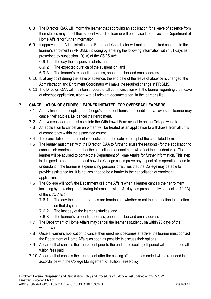- 6.8 The Director: QAA will inform the learner that approving an application for a leave of absence from their studies may affect their student visa. The learner will be advised to contact the Department of Home Affairs for further information.
- 6.9 If approved, the Administration and Enrolment Coordinator will make the required changes to the learner's enrolment in PRISMS, including by entering the following information within 31 days as prescribed by subsection 19(1A) of the *ESOS Act*:
	- 6.9.1 The day the suspension starts; and
	- 6.9.2 The expected duration of the suspension; and
	- 6.9.3 The learner's residential address, phone number and email address.
- 6.10 If, at any point during the leave of absence, the end date of the leave of absence is changed, the Administration and Enrolment Coordinator will make the required change in PRISMS.
- 6.11 The Director: QAA will maintain a record of all communication with the learner regarding their leave of absence application, along with all relevant documentation, in the learner's file.

#### <span id="page-5-0"></span>**7. CANCELLATION OF STUDIES (LEARNER INITIATED) FOR OVERSEAS LEARNERS**

- 7.1 At any time after accepting the College's enrolment terms and conditions, an overseas learner may cancel their studies, i.e. cancel their enrolment.
- 7.2 An overseas learner must complete the Withdrawal Form available on the College website.
- 7.3 An application to cancel an enrolment will be treated as an application to withdrawal from all units of competency within the associated course.
- 7.4 The cancellation of enrolment is effective from the date of receipt of the completed form.
- 7.5 The learner must meet with the Director: QAA to further discuss the reason(s) for the application to cancel their enrolment, and that the cancellation of enrolment will affect their student visa. The learner will be advised to contact the Department of Home Affairs for further information. This step is designed to better understand how the College can improve any aspect of its operations, and to understand if the learner is experiencing personal difficulties that the College may be able to provide assistance for. It is not designed to be a barrier to the cancellation of enrolment application.
- 7.6 The College will notify the Department of Home Affairs when a learner cancels their enrolment, including by providing the following information within 31 days as prescribed by subsection 19(1A) of the *ESOS Act*:
	- 7.6.1 The day the learner's studies are terminated (whether or not the termination takes effect on that day); and
	- 7.6.2 The last day of the learner's studies; and
	- 7.6.3 The learner's residential address, phone number and email address.
- 7.7 The Department of Home Affairs may cancel the learner's student visa within 28 days of the withdrawal.
- 7.8 Once a learner's application to cancel their enrolment becomes effective, the learner must contact the Department of Home Affairs as soon as possible to discuss their options.
- 7.9 A learner that cancels their enrolment prior to the end of the cooling off period will be refunded all tuition fees paid.
- 7.10 A learner that cancels their enrolment after the cooling off period has ended will be refunded in accordance with the College Management of Tuition Fees Policy.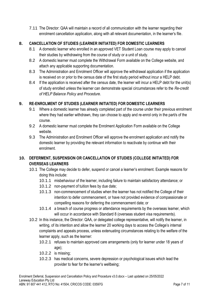7.11 The Director: QAA will maintain a record of all communication with the learner regarding their enrolment cancellation application, along with all relevant documentation, in the learner's file.

#### <span id="page-6-0"></span>**8. CANCELLATION OF STUDIES (LEARNER INITIATED) FOR DOMESTIC LEARNERS**

- 8.1 A domestic learner who enrolled in an approved VET Student Loan course may apply to cancel their studies by withdrawing from the course of study or a unit of study.
- 8.2 A domestic learner must complete the Withdrawal Form available on the College website, and attach any applicable supporting documentation.
- 8.3 The Administration and Enrolment Officer will approve the withdrawal application if the application is received on or prior to the census date of the first study period without incur a HELP debt.
- 8.4 If the application is received after the census date, the learner will incur a HELP debt for the unit(s) of study enrolled unless the learner can demonstrate special circumstances refer to the *Re-credit of HELP Balance Policy and Procedure*.

#### <span id="page-6-1"></span>**9. RE-ENROLMENT OF STUDIES (LEARNER INITIATED) FOR DOMESTIC LEARNERS**

- 9.1 Where a domestic learner has already completed part of the course under their previous enrolment where they had earlier withdrawn, they can choose to apply and re-enrol only in the part/s of the course.
- 9.2 A domestic learner must complete the Enrolment Application Form available on the College website.
- 9.3 The Administration and Enrolment Officer will approve the enrolment application and notify the domestic learner by providing the relevant information to reactivate by continue with their enrolment.

### <span id="page-6-2"></span>**10. DEFERMENT, SUSPENSION OR CANCELLATION OF STUDIES (COLLEGE INITIATED) FOR OVERSEAS LEARNERS**

- 10.1 The College may decide to defer, suspend or cancel a learner's enrolment. Example reasons for doing this include:
	- 10.1.1 misbehaviour of the learner, including failure to maintain satisfactory attendance; or
	- 10.1.2 non-payment of tuition fees by due date;
	- 10.1.3 non-commencement of studies when the learner has not notified the College of their intention to defer commencement, or have not provided evidence of compassionate or compelling reasons for deferring the commencement date; or
	- 10.1.4 a breach of course progress or attendance requirements by the overseas learner, which will occur in accordance with Standard 8 (overseas student visa requirements).
- 10.2 In this instance, the Director: QAA, or delegated college representative, will notify the learner, in writing, of its intention and allow the learner 20 working days to access the College's internal complaints and appeals process, unless extenuating circumstances relating to the welfare of the learner apply, such as the learner:
	- 10.2.1 refuses to maintain approved care arrangements (only for learner under 18 years of age);
	- 10.2.2 is missing;
	- 10.2.3 has medical concerns, severe depression or psychological issues which lead the provider to fear for the learner's wellbeing;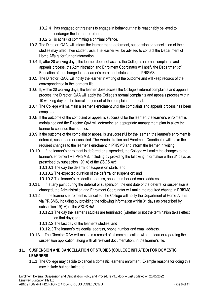- 10.2.4 has engaged or threatens to engage in behaviour that is reasonably believed to endanger the learner or others; or
- 10.2.5 is at risk of committing a criminal offence.
- 10.3 The Director: QAA, will inform the learner that a deferment, suspension or cancellation of their studies may affect their student visa. The learner will be advised to contact the Department of Home Affairs for further information.
- 10.4 If, after 20 working days, the learner does not access the College's internal complaints and appeals process, the Administration and Enrolment Coordinator will notify the Department of Education of the change to the learner's enrolment status through PRISMS.
- 10.5 The Director: QAA, will notify the learner in writing of the outcome and will keep records of the correspondence in the learner's file.
- 10.6 If, within 20 working days, the learner does access the College's internal complaints and appeals process, the Director: QAA will apply the College's normal complaints and appeals process within 10 working days of the formal lodgement of the complaint or appeal.
- 10.7 The College will maintain a learner's enrolment until the complaints and appeals process has been completed.
- 10.8 If the outcome of the complaint or appeal is successful for the learner, the learner's enrolment is maintained and the Director: QAA will determine an appropriate management plan to allow the learner to continue their studies.
- 10.9 If the outcome of the complaint or appeal is unsuccessful for the learner, the learner's enrolment is deferred, suspended or cancelled. The Administration and Enrolment Coordinator will make the required changes to the learner's enrolment in PRISMS and inform the learner in writing.
- 10.10 If the learner's enrolment is deferred or suspended, the College will make the changes to the learner's enrolment via PRISMS, including by providing the following information within 31 days as prescribed by subsection 19(1A) of the *ESOS Act*:
	- 10.10.1 The day the deferral or suspension starts; and
	- 10.10.2 The expected duration of the deferral or suspension; and
	- 10.10.3 The learner's residential address, phone number and email address
- 10.11 If, at any point during the deferral or suspension, the end date of the deferral or suspension is changed, the Administration and Enrolment Coordinator will make the required change in PRISMS.
- 10.12 If the learner's enrolment is cancelled, the College will notify the Department of Home Affairs via PRISMS, including by providing the following information within 31 days as prescribed by subsection 19(1A) of the *ESOS Act*:
	- 10.12.1 The day the learner's studies are terminated (whether or not the termination takes effect on that day); and
	- 10.12.2 The last day of the learner's studies; and
	- 10.12.3 The learner's residential address, phone number and email address.
- 10.13 The Director: QAA will maintain a record of all communication with the learner regarding their suspension application, along with all relevant documentation, in the learner's file.

## <span id="page-7-0"></span>**11. SUSPENSION AND CANCELLATION OF STUDIES (COLLEGE INITIATED) FOR DOMESTIC LEARNERS**

11.1 The College may decide to cancel a domestic learner's enrolment. Example reasons for doing this may include but not limited to: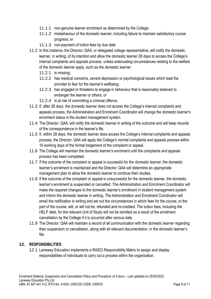- 11.1.1 non-genuine learner enrolment as determined by the College;
- 11.1.2 misbehaviour of the domestic learner, including failure to maintain satisfactory course progress; or
- 11.1.3 non-payment of tuition fees by due date
- 11.2 In this instance, the Director: QAA, or delegated college representative, will notify the domestic learner, in writing, of its intention and allow the domestic learner 28 days to access the College's internal complaints and appeals process, unless extenuating circumstances relating to the welfare of the domestic learner apply, such as the domestic learner:
	- 11.2.1 is missing;
	- 11.2.2 has medical concerns, severe depression or psychological issues which lead the provider to fear for the learner's wellbeing;
	- 11.2.3 has engaged or threatens to engage in behaviour that is reasonably believed to endanger the learner or others; or
	- 11.2.4 is at risk of committing a criminal offence.
- 11.3 If, after 28 days, the domestic learner does not access the College's internal complaints and appeals process, the Administration and Enrolment Coordinator will change the domestic learner's enrolment status in the student management system.
- 11.4 The Director: QAA, will notify the domestic learner in writing of the outcome and will keep records of the correspondence in the learner's file.
- 11.5 If, within 28 days, the domestic learner does access the College's internal complaints and appeals process, the Director: QAA will apply the College's normal complaints and appeals process within 10 working days of the formal lodgement of the complaint or appeal.
- 11.6 The College will maintain the domestic learner's enrolment until the complaints and appeals process has been completed.
- 11.7 If the outcome of the complaint or appeal is successful for the domestic learner, the domestic learner's enrolment is maintained and the Director: QAA will determine an appropriate management plan to allow the domestic learner to continue their studies.
- 11.8 If the outcome of the complaint or appeal is unsuccessful for the domestic learner, the domestic learner's enrolment is suspended or cancelled. The Administration and Enrolment Coordinator will make the required changes to the domestic learner's enrolment in student management system and inform the domestic learner in writing. The Administration and Enrolment Coordinator will email the notification in writing and set out the circumstances in which fees for the course, or the part of the course, will, or will not be, refunded and re-credited. The tuition fees, including the HELP debt, for the relevant Unit of Study will not be remitted as a result of the enrolment cancellation by the College if it is occurred after census date.
- 11.9 The Director: QAA will maintain a record of all communication with the domestic learner regarding their suspension or cancellation, along with all relevant documentation, in the domestic learner's file.

#### <span id="page-8-0"></span>**12. RESPONSIBILITIES**

12.1 Laneway Education implements a RASCI Responsibility Matrix to assign and display responsibilities of individuals to carry out a process within the organisation.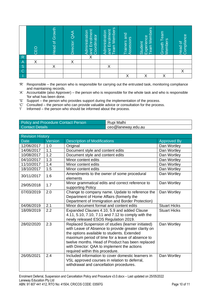|                                           | ú | ₽<br>Grov<br>$\sigma$<br>Head | Director: | Enrolment<br>Administration<br>Coordinator<br>bue | <b>Members</b><br>Enrolment<br>Administration<br>mrea<br>and | rainers and<br><b>SSBSSOTS</b><br>⊲ | <b>Members</b><br>Experience<br>Student<br>eam<br>◥▭ | Team<br>Members<br>Growth | Head of<br>Compliance<br>$\phi$ |
|-------------------------------------------|---|-------------------------------|-----------|---------------------------------------------------|--------------------------------------------------------------|-------------------------------------|------------------------------------------------------|---------------------------|---------------------------------|
|                                           |   |                               |           | $\checkmark$                                      |                                                              |                                     |                                                      |                           |                                 |
|                                           | v |                               | v         |                                                   |                                                              |                                     |                                                      |                           |                                 |
|                                           |   |                               |           |                                                   |                                                              |                                     |                                                      |                           |                                 |
| $\frac{R}{A}$ $\frac{S}{C}$ $\frac{R}{C}$ |   |                               |           |                                                   |                                                              |                                     |                                                      |                           |                                 |
|                                           |   |                               |           |                                                   |                                                              |                                     | v                                                    | v                         |                                 |

- 'R' Responsible the person who is responsible for carrying out the entrusted task, monitoring compliance and maintaining records.
- 'A' Accountable (also Approver) the person who is responsible for the whole task and who is responsible 'for what has been done.
- 'S' Support the person who provides support during the implementation of the process.
- 'C' Consulted the person who can provide valuable advice or consultation for the process.
- 'I' Informed the person who should be informed about the process.

| <b>Policy and Procedure Contact Person</b> | Rupi Malhi         |
|--------------------------------------------|--------------------|
| Contact Details                            | ceo@laneway.edu.au |

|                                                                                                                                                                                                                                                                                                                                                                                                                                                                                                                                                               | CEO                                                                                                                                                                                   | <b>Head of Growth</b>                                                                                                                                                | Director: QAA                                                                                                                                                                                                                                                                                                                                                     | and Enrolment<br>Administration<br>Coordinator | eam Members<br>and Enrolment<br>Administration   | Trainers and<br>Assessors | eam Members<br>Experience<br><b>Student</b> | Growth Team<br><b>Vembers</b> | Compliance<br>Head of |  |
|---------------------------------------------------------------------------------------------------------------------------------------------------------------------------------------------------------------------------------------------------------------------------------------------------------------------------------------------------------------------------------------------------------------------------------------------------------------------------------------------------------------------------------------------------------------|---------------------------------------------------------------------------------------------------------------------------------------------------------------------------------------|----------------------------------------------------------------------------------------------------------------------------------------------------------------------|-------------------------------------------------------------------------------------------------------------------------------------------------------------------------------------------------------------------------------------------------------------------------------------------------------------------------------------------------------------------|------------------------------------------------|--------------------------------------------------|---------------------------|---------------------------------------------|-------------------------------|-----------------------|--|
| R                                                                                                                                                                                                                                                                                                                                                                                                                                                                                                                                                             | $\times$                                                                                                                                                                              |                                                                                                                                                                      | X                                                                                                                                                                                                                                                                                                                                                                 | $\overline{\mathsf{X}}$                        |                                                  |                           |                                             |                               |                       |  |
| $\overline{A}$                                                                                                                                                                                                                                                                                                                                                                                                                                                                                                                                                |                                                                                                                                                                                       | X                                                                                                                                                                    |                                                                                                                                                                                                                                                                                                                                                                   |                                                | X                                                |                           |                                             |                               |                       |  |
| $rac{S}{C}$                                                                                                                                                                                                                                                                                                                                                                                                                                                                                                                                                   |                                                                                                                                                                                       |                                                                                                                                                                      |                                                                                                                                                                                                                                                                                                                                                                   |                                                |                                                  |                           |                                             |                               | Χ                     |  |
|                                                                                                                                                                                                                                                                                                                                                                                                                                                                                                                                                               |                                                                                                                                                                                       |                                                                                                                                                                      |                                                                                                                                                                                                                                                                                                                                                                   |                                                |                                                  | X                         | X                                           | $\pmb{\mathsf{X}}$            |                       |  |
| 'R'<br>Responsible – the person who is responsible for carrying out the entrusted task, monitoring compliance<br>and maintaining records.<br>ʻA'<br>Accountable (also Approver) - the person who is responsible for the whole task and who is responsible<br>'for what has been done.<br>ʻS'<br>Support – the person who provides support during the implementation of the process.<br>'C'<br>Consulted – the person who can provide valuable advice or consultation for the process.<br>Ŧ<br>Informed – the person who should be informed about the process. |                                                                                                                                                                                       |                                                                                                                                                                      |                                                                                                                                                                                                                                                                                                                                                                   |                                                |                                                  |                           |                                             |                               |                       |  |
|                                                                                                                                                                                                                                                                                                                                                                                                                                                                                                                                                               |                                                                                                                                                                                       | <b>Policy and Procedure Contact Person</b>                                                                                                                           |                                                                                                                                                                                                                                                                                                                                                                   |                                                | Rupi Malhi                                       |                           |                                             |                               |                       |  |
|                                                                                                                                                                                                                                                                                                                                                                                                                                                                                                                                                               | <b>Contact Details</b>                                                                                                                                                                |                                                                                                                                                                      |                                                                                                                                                                                                                                                                                                                                                                   |                                                |                                                  | ceo@laneway.edu.au        |                                             |                               |                       |  |
|                                                                                                                                                                                                                                                                                                                                                                                                                                                                                                                                                               |                                                                                                                                                                                       |                                                                                                                                                                      |                                                                                                                                                                                                                                                                                                                                                                   |                                                |                                                  |                           |                                             |                               |                       |  |
|                                                                                                                                                                                                                                                                                                                                                                                                                                                                                                                                                               | <b>Revision History</b>                                                                                                                                                               |                                                                                                                                                                      |                                                                                                                                                                                                                                                                                                                                                                   |                                                |                                                  |                           |                                             |                               |                       |  |
| <b>Date</b>                                                                                                                                                                                                                                                                                                                                                                                                                                                                                                                                                   |                                                                                                                                                                                       | Version                                                                                                                                                              |                                                                                                                                                                                                                                                                                                                                                                   | <b>Description of Modifications</b>            |                                                  |                           |                                             | <b>Approved By</b>            |                       |  |
|                                                                                                                                                                                                                                                                                                                                                                                                                                                                                                                                                               | 12/06/2017                                                                                                                                                                            | 1.0                                                                                                                                                                  | Original                                                                                                                                                                                                                                                                                                                                                          |                                                |                                                  |                           |                                             | Dan Wortley                   |                       |  |
|                                                                                                                                                                                                                                                                                                                                                                                                                                                                                                                                                               | 14/06/2017                                                                                                                                                                            | 1.1                                                                                                                                                                  |                                                                                                                                                                                                                                                                                                                                                                   |                                                | Document style and content edits                 |                           |                                             |                               | Dan Wortley           |  |
|                                                                                                                                                                                                                                                                                                                                                                                                                                                                                                                                                               | 10/08/2017                                                                                                                                                                            | 1.2                                                                                                                                                                  |                                                                                                                                                                                                                                                                                                                                                                   |                                                | Document style and content edits                 |                           |                                             |                               | Dan Wortley           |  |
|                                                                                                                                                                                                                                                                                                                                                                                                                                                                                                                                                               | 04/10/2017                                                                                                                                                                            | 1.3                                                                                                                                                                  |                                                                                                                                                                                                                                                                                                                                                                   | Minor content edits                            |                                                  |                           |                                             |                               | Dan Wortley           |  |
|                                                                                                                                                                                                                                                                                                                                                                                                                                                                                                                                                               | 11/10/2017                                                                                                                                                                            | 1.4                                                                                                                                                                  |                                                                                                                                                                                                                                                                                                                                                                   | Minor content edits                            |                                                  |                           |                                             |                               | Dan Wortley           |  |
|                                                                                                                                                                                                                                                                                                                                                                                                                                                                                                                                                               | 18/10/2017<br>1.5<br>Minor content edits                                                                                                                                              |                                                                                                                                                                      |                                                                                                                                                                                                                                                                                                                                                                   |                                                |                                                  |                           |                                             | Dan Wortley                   |                       |  |
|                                                                                                                                                                                                                                                                                                                                                                                                                                                                                                                                                               | Amendments to the owner of some procedural<br>Dan Wortley<br>30/11/2017<br>1.6<br>elements                                                                                            |                                                                                                                                                                      |                                                                                                                                                                                                                                                                                                                                                                   |                                                |                                                  |                           |                                             |                               |                       |  |
|                                                                                                                                                                                                                                                                                                                                                                                                                                                                                                                                                               | 29/05/2018                                                                                                                                                                            | 1.7                                                                                                                                                                  |                                                                                                                                                                                                                                                                                                                                                                   | supporting Policy                              | Minor grammatical edits and correct reference to |                           |                                             | Dan Wortley                   |                       |  |
|                                                                                                                                                                                                                                                                                                                                                                                                                                                                                                                                                               | 07/03/2019<br>Dan Wortley<br>2.0<br>Change to company name. Update to reference the<br>Department of Home Affairs (formerly the<br>Department of Immigration and Border Protection)   |                                                                                                                                                                      |                                                                                                                                                                                                                                                                                                                                                                   |                                                |                                                  |                           |                                             |                               |                       |  |
|                                                                                                                                                                                                                                                                                                                                                                                                                                                                                                                                                               | 04/06/2019                                                                                                                                                                            | 2.1                                                                                                                                                                  |                                                                                                                                                                                                                                                                                                                                                                   |                                                | Minor document format and content edits          |                           |                                             | <b>Stuart Hicks</b>           |                       |  |
|                                                                                                                                                                                                                                                                                                                                                                                                                                                                                                                                                               | 2.2<br>18/09/2019<br>Expanded Clauses 4.10, 5.9 and added Clause<br><b>Stuart Hicks</b><br>4.11, 5.10, 7.10, 7.11 and 7.12 to comply with the<br>newly released ESOS Regulation 2019. |                                                                                                                                                                      |                                                                                                                                                                                                                                                                                                                                                                   |                                                |                                                  |                           |                                             |                               |                       |  |
|                                                                                                                                                                                                                                                                                                                                                                                                                                                                                                                                                               | 28/02/2020                                                                                                                                                                            | 2.3                                                                                                                                                                  | Replaced Suspension of studies (learner initiated)<br>Dan Wortley<br>with Leave of Absence to provide greater clarity on<br>the options available to students. Extended<br>maximum period of time for a leave of absence to<br>twelve months. Head of Product has been replaced<br>with Director: QAA to implement the actions<br>required within this procedure. |                                                |                                                  |                           |                                             |                               |                       |  |
|                                                                                                                                                                                                                                                                                                                                                                                                                                                                                                                                                               | 26/05/2021                                                                                                                                                                            | 2.4<br>Included information to cover domestic learners in<br>Dan Wortley<br>VSL approved courses in relation to deferral,<br>withdrawal and cancellation procedures. |                                                                                                                                                                                                                                                                                                                                                                   |                                                |                                                  |                           |                                             |                               |                       |  |
| Enrolment Deferral, Suspension and Cancellation Policy and Procedure v3.0.docx - Last updated on 25/05/2022<br>Laneway Education Pty Ltd<br>ABN: 91 607 441 412, RTO No: 41504, CRICOS CODE: 03597G<br>Page 10 of 11                                                                                                                                                                                                                                                                                                                                          |                                                                                                                                                                                       |                                                                                                                                                                      |                                                                                                                                                                                                                                                                                                                                                                   |                                                |                                                  |                           |                                             |                               |                       |  |